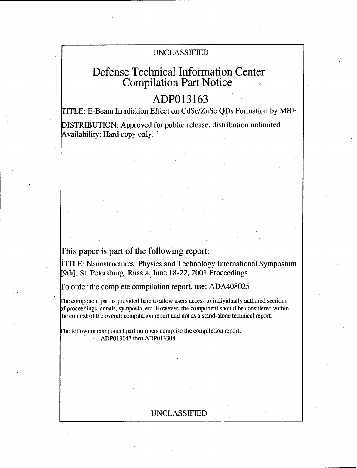# UNCLASSIFIED

# Defense Technical Information Center Compilation Part Notice

# **ADP013163**

ITLE: E-Beam Irradiation Effect on CdSe/ZnSe QDs Formation by MBE

DISTRIBUTION: Approved for public release, distribution unlimited Availability: Hard copy only.

# This paper is part of the following report:

TITLE: Nanostructures: Physics and Technology International Symposium [9th], St. Petersburg, Russia, June 18-22, 2001 Proceedings

To order the complete compilation report, use: ADA408025

rhe component part is provided here to allow users access to individually authored sections of proceedings, annals, symposia, etc. However. the component should be considered within the context of the overall compilation report and not as a stand-alone technical report.

Fhe following component part numbers comprise the compilation report: ADP013147 thru ADP013308

# UNCLASSIFIED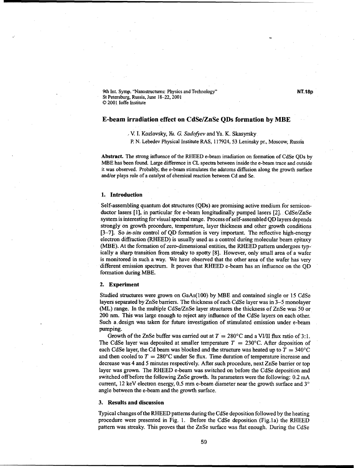9th Int. Symp. "Nanostructures: Physics and Technology" **NT.18p** St Petersburg, Russia, June 18-22, 2001 © 2001 loffe Institute

## E-beam irradiation effect on CdSe/ZnSe QDs formation **by** MBE

.V. I. Kozlovsky, *Yu. G. Sadofyev* and Ya. K. Skasyrsky

P. N. Lebedev Physical Institute RAS., 117924, 53 Leninsky pr., Moscow, Russia

Abstract. The strong influence of the RHEED e-beam irradiation on formation of CdSe QDs by MBE has been found. Large difference in CL spectra between inside the e-beam trace and outside it was observed. Probably, the e-beam stimulates the adatoms diffusion along the growth surface and/or plays role of a catalyst of chemical reaction between Cd and Se.

#### **1.** Introduction

Self-assembling quantum dot structures (QDs) are promising active medium for semiconductor lasers  $[1]$ , in particular for e-beam longitudinally pumped lasers  $[2]$ . CdSe/ZnSe system is interesting for visual spectral range. Process of self-assembled QD layers depends strongly on growth procedure, temperature, layer thickness and other growth conditions [3-7]. So *in-situ* control of QD formation is very important. The reflective high-energy electron diffraction (RHEED) is usually used as a control during molecular beam epitaxy (MBE). At the formation of zero-dimensional entities, the RHEED pattern undergoes typically a sharp transition from streaky to spotty [8]. However, only small area of a wafer is monitored in such a way. We have observed that the other area of the wafer has very different emission spectrum. It proves that RHEED e-beam has an influence on the QD formation during MBE.

### 2. Experiment

Studied structures were grown on GaAs(100) by MBE and contained single or 15 CdSe layers separated by ZnSe barriers. The thickness of each CdSe layer was in 3-5 monolayer (ML) range. In the multiple CdSe/ZnSe layer structures the thickness of ZnSe was 50 or 200 nm. This was large enough to reject any influence of the CdSe layers on each other. Such a.design was taken for future investigation of stimulated emission under e-beam pumping.

Growth of the ZnSe buffer was carried out at  $T = 280^{\circ}$ C and a VI/II flux ratio of 3:1. The CdSe layer was deposited at smaller temperature  $T = 230^{\circ}$ C. After deposition of each CdSe layer, the Cd beam was blocked and the structure was heated up to  $T = 340^{\circ}$ C and then cooled to  $T = 280^{\circ}$ C under Se flux. Time duration of temperature increase and decrease was 4 and 5 minutes respectively. After such procedure, next ZnSe barrier or top layer was grown. The RHEED e-beam was switched on before the CdSe deposition and switched off before the following ZnSe growth. Its parameters were the following: 0.2 mA current, 12 keV electron energy, 0.5 mm e-beam diameter near the growth surface and **3'** angle between the e-beam and the growth surface.

### **3.** Results and discussion

Typical changes of the RHEED patterns during the CdSe deposition followed by the heating procedure were presented in Fig. 1. Before the CdSe deposition (Fig. 1a) the RHEED pattern was streaky. This proves that the ZnSe surface was flat enough. During the CdSe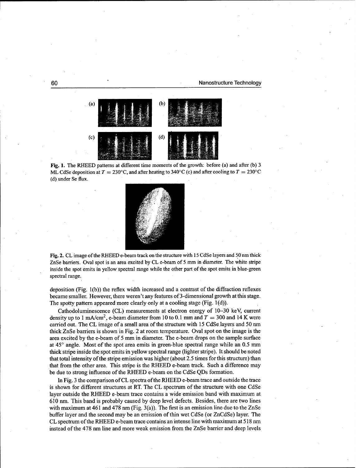## 60 Nanostructure Technology



Fig. **1.** The RHEED patterns at different time moments of the growth: before (a) and after (b) 3 ML CdSe deposition at  $T = 230^{\circ}\text{C}$ , and after heating to 340°C (c) and after cooling to  $T = 230^{\circ}\text{C}$ (d) under Se flux.



Fig. 2. CL image of the RHEED e-beam track on the structure with 15 CdSe layers and 50 nm thick ZnSe barriers. Oval spot is an area excited by CL e-beam of 5 mm in diameter. The white stripe inside the spot emits in yellow spectral range while the other part of the spot emits in blue-green spectral range.

deposition (Fig. 1(b)) the reflex width increased and a contrast of the diffraction reflexes became smaller. However, there weren't any features of3-dimensional growth at this stage. The spotty pattern appeared more clearly only at a cooling stage (Fig.  $1(d)$ ).

Cathodoluminescence (CL) measurements at electron energy of 10-30 keV, current density up to 1 mA/cm<sup>2</sup>, e-beam diameter from 10 to 0.1 mm and  $T = 300$  and 14 K were carried out. The CL image of a small area of the structure with 15 CdSe layers and 50 nm thick ZnSe barriers is shown in Fig. 2 at room temperature. Oval spot on the image is the area excited by the e-beam of 5 mm in diameter. The e-beam drops on the sample surface at 45' angle. Most of the spot area emits in green-blue spectral range while an 0.5 mm thick stripe inside the spot emits in yellow spectral range (lighter stripe). It should be noted that total intensity of the stripe emission was higher (about 2.5 times for this structure) than that from the other area. This stripe is the RHEED e-beam track. Such a difference may be due to strong influence of the RHEED e-beam on the CdSe QDs formation.

In Fig. 3 the comparison of CL spectra of the RHEED e-beam trace and outside the trace is shown for different structures at RT. The CL spectrum of the structure with one CdSe layer outside the RHEED e-beam trace contains a wide emission band with maximum at 610 nm. This band is probably caused by deep level defects. Besides, there are two lines with maximum at 461 and 478 nm (Fig. 3(a)). The first is an emission line due to the ZnSe buffer layer and the second may be an emission of thin wet CdSe (or ZnCdSe) layer. The CL spectrum of the RHEED e-beam trace contains an intense line with maximum at 518 nm instead of the 478 nm line and more weak emission from the ZnSe barrier and deep levels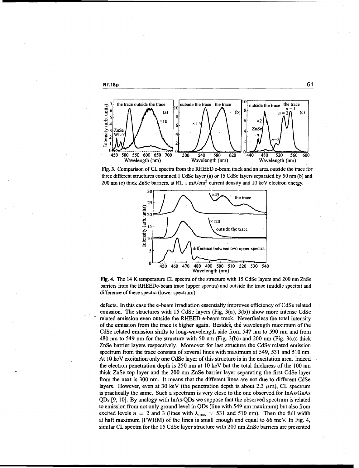



Fig. 3. Comparison of CL spectra from the RHEED e-beam track and an area outside the trace for three different structures contained 1 CdSe layer (a) or 15 CdSe layers separated by 50 nm (b) and 200 nm (c) thick ZnSe barriers, at RT,  $1 \text{ mA/cm}^2$  current density and 10 keV electron energy.



Fig. 4. The 14 K temperature CL spectra of the structure with 15 CdSe layers and 200 nm ZnSe barriers from the RHEEDe-beam trace (upper spectra) and outside the trace (middle spectra) and difference of these spectra (lower spectrum).

defects. In this case the e-beam irradiation essentially improves efficiency of CdSe related emission. The structures with 15 CdSe layers (Fig, 3(a), 3(b)) show more intense CdSe related emission even outside the RHEED e-beam track. Nevertheless the total intensity of the emission from the trace is higher again. Besides, the wavelength maximum of the CdSe related emission shifts to long-wavelength side from 547 nm to 590 nm and from 480 nm to 549 nm for the structure with 50 nm (Fig. 3(b)) and 200 nm (Fig. 3(c)) thick ZnSe barrier layers respectively. Moreover for last structure the CdSe' related emission spectrum from the trace consists of several lines with maximum at 549, 531 and *510* nim. At 10 keV excitation only one CdSe layer of this structure is in the excitation area. Indeed the electron penetration depth is 250 nim at 10 keV but the total thickness of the **100** nm thick ZnSe top layer and the 200 rm ZnSe barrier layer separating the first CdSe layer from the next is 300 nm. It means that the different lines are not due to different CdSe layers. However, even at 30 keV (the penetration depth is about 2.3  $\mu$ m), CL spectrum is practically the same. Such a spectrum is very close to the one observed for InAs/GaAs QDs [9, 10]. By analogy with InAs QDs we suppose that the observed spectrum is related to emission from not only ground level in QDs (line with 549 nm maximum) but also from excited levels  $n = 2$  and 3 (lines with  $\lambda_{\text{max}} = 531$  and 510 nm). Then the full width at haft maximum (FWHM) of the lines is small enough and equal to 66 meV. In Fig. 4, similar CL spectra for the 15 CdSe layer structure with 200 nm ZnSe barriers are presented